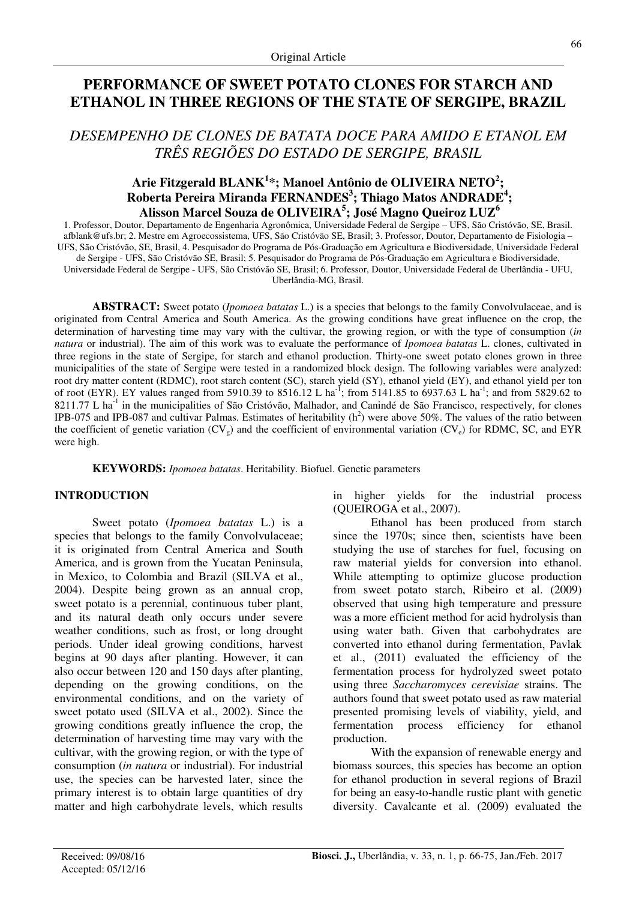# **PERFORMANCE OF SWEET POTATO CLONES FOR STARCH AND ETHANOL IN THREE REGIONS OF THE STATE OF SERGIPE, BRAZIL**

## *DESEMPENHO DE CLONES DE BATATA DOCE PARA AMIDO E ETANOL EM TRÊS REGIÕES DO ESTADO DE SERGIPE, BRASIL*

## **Arie Fitzgerald BLANK<sup>1</sup> \*; Manoel Antônio de OLIVEIRA NETO<sup>2</sup> ; Roberta Pereira Miranda FERNANDES<sup>3</sup> ; Thiago Matos ANDRADE<sup>4</sup> ; Alisson Marcel Souza de OLIVEIRA<sup>5</sup> ; José Magno Queiroz LUZ<sup>6</sup>**

1. Professor, Doutor, Departamento de Engenharia Agronômica, Universidade Federal de Sergipe – UFS, São Cristóvão, SE, Brasil. afblank@ufs.br; 2. Mestre em Agroecossistema, UFS, São Cristóvão SE, Brasil; 3. Professor, Doutor, Departamento de Fisiologia – UFS, São Cristóvão, SE, Brasil, 4. Pesquisador do Programa de Pós-Graduação em Agricultura e Biodiversidade, Universidade Federal de Sergipe - UFS, São Cristóvão SE, Brasil; 5. Pesquisador do Programa de Pós-Graduação em Agricultura e Biodiversidade, Universidade Federal de Sergipe - UFS, São Cristóvão SE, Brasil; 6. Professor, Doutor, Universidade Federal de Uberlândia - UFU, Uberlândia-MG, Brasil.

**ABSTRACT:** Sweet potato (*Ipomoea batatas* L.) is a species that belongs to the family Convolvulaceae, and is originated from Central America and South America. As the growing conditions have great influence on the crop, the determination of harvesting time may vary with the cultivar, the growing region, or with the type of consumption (*in natura* or industrial). The aim of this work was to evaluate the performance of *Ipomoea batatas* L. clones, cultivated in three regions in the state of Sergipe, for starch and ethanol production. Thirty-one sweet potato clones grown in three municipalities of the state of Sergipe were tested in a randomized block design. The following variables were analyzed: root dry matter content (RDMC), root starch content (SC), starch yield (SY), ethanol yield (EY), and ethanol yield per ton of root (EYR). EY values ranged from 5910.39 to 8516.12 L ha<sup>-1</sup>; from 5141.85 to 6937.63 L ha<sup>-1</sup>; and from 5829.62 to 8211.77 L ha<sup>-1</sup> in the municipalities of São Cristóvão, Malhador, and Canindé de São Francisco, respectively, for clones IPB-075 and IPB-087 and cultivar Palmas. Estimates of heritability  $(h^2)$  were above 50%. The values of the ratio between the coefficient of genetic variation  $(CV_{e})$  and the coefficient of environmental variation  $(CV_{e})$  for RDMC, SC, and EYR were high.

**KEYWORDS:** *Ipomoea batatas*. Heritability. Biofuel. Genetic parameters

## **INTRODUCTION**

Sweet potato (*Ipomoea batatas* L.) is a species that belongs to the family Convolvulaceae; it is originated from Central America and South America, and is grown from the Yucatan Peninsula, in Mexico, to Colombia and Brazil (SILVA et al., 2004). Despite being grown as an annual crop, sweet potato is a perennial, continuous tuber plant, and its natural death only occurs under severe weather conditions, such as frost, or long drought periods. Under ideal growing conditions, harvest begins at 90 days after planting. However, it can also occur between 120 and 150 days after planting, depending on the growing conditions, on the environmental conditions, and on the variety of sweet potato used (SILVA et al., 2002). Since the growing conditions greatly influence the crop, the determination of harvesting time may vary with the cultivar, with the growing region, or with the type of consumption (*in natura* or industrial). For industrial use, the species can be harvested later, since the primary interest is to obtain large quantities of dry matter and high carbohydrate levels, which results in higher yields for the industrial process (QUEIROGA et al., 2007).

Ethanol has been produced from starch since the 1970s; since then, scientists have been studying the use of starches for fuel, focusing on raw material yields for conversion into ethanol. While attempting to optimize glucose production from sweet potato starch, Ribeiro et al. (2009) observed that using high temperature and pressure was a more efficient method for acid hydrolysis than using water bath. Given that carbohydrates are converted into ethanol during fermentation, Pavlak et al., (2011) evaluated the efficiency of the fermentation process for hydrolyzed sweet potato using three *Saccharomyces cerevisiae* strains. The authors found that sweet potato used as raw material presented promising levels of viability, yield, and fermentation process efficiency for ethanol production.

With the expansion of renewable energy and biomass sources, this species has become an option for ethanol production in several regions of Brazil for being an easy-to-handle rustic plant with genetic diversity. Cavalcante et al. (2009) evaluated the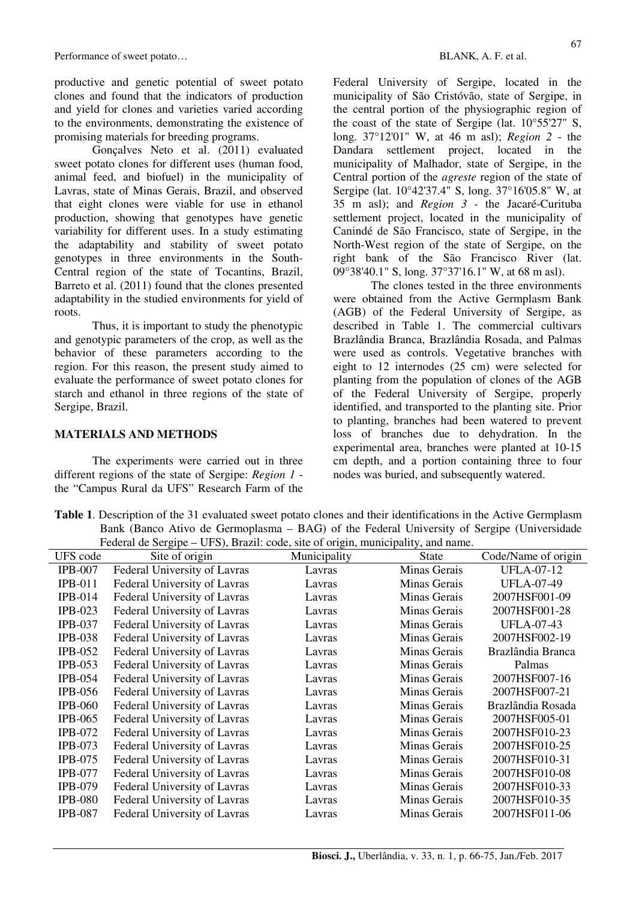productive and genetic potential of sweet potato clones and found that the indicators of production and yield for clones and varieties varied according to the environments, demonstrating the existence of promising materials for breeding programs.

Gonçalves Neto et al. (2011) evaluated sweet potato clones for different uses (human food, animal feed, and biofuel) in the municipality of Lavras, state of Minas Gerais, Brazil, and observed that eight clones were viable for use in ethanol production, showing that genotypes have genetic variability for different uses. In a study estimating the adaptability and stability of sweet potato genotypes in three environments in the South-Central region of the state of Tocantins, Brazil, Barreto et al. (2011) found that the clones presented adaptability in the studied environments for yield of roots.

Thus, it is important to study the phenotypic and genotypic parameters of the crop, as well as the behavior of these parameters according to the region. For this reason, the present study aimed to evaluate the performance of sweet potato clones for starch and ethanol in three regions of the state of Sergipe, Brazil.

#### **MATERIALS AND METHODS**

The experiments were carried out in three different regions of the state of Sergipe: *Region 1* the "Campus Rural da UFS" Research Farm of the

Federal University of Sergipe, located in the municipality of São Cristóvão, state of Sergipe, in the central portion of the physiographic region of the coast of the state of Sergipe (lat.  $10^{\circ}55'27''$  S, long. 37°12'01" W, at 46 m asl); *Region 2* - the Dandara settlement project, located in the municipality of Malhador, state of Sergipe, in the Central portion of the *agreste* region of the state of Sergipe (lat. 10°42'37.4" S, long. 37°16'05.8" W, at 35 m asl); and *Region 3* - the Jacaré-Curituba settlement project, located in the municipality of Canindé de São Francisco, state of Sergipe, in the North-West region of the state of Sergipe, on the right bank of the São Francisco River (lat. 09°38'40.1" S, long. 37°37'16.1" W, at 68 m asl).

The clones tested in the three environments were obtained from the Active Germplasm Bank (AGB) of the Federal University of Sergipe, as described in Table 1. The commercial cultivars Brazlândia Branca, Brazlândia Rosada, and Palmas were used as controls. Vegetative branches with eight to 12 internodes (25 cm) were selected for planting from the population of clones of the AGB of the Federal University of Sergipe, properly identified, and transported to the planting site. Prior to planting, branches had been watered to prevent loss of branches due to dehydration. In the experimental area, branches were planted at 10-15 cm depth, and a portion containing three to four nodes was buried, and subsequently watered.

**Table 1**. Description of the 31 evaluated sweet potato clones and their identifications in the Active Germplasm Bank (Banco Ativo de Germoplasma – BAG) of the Federal University of Sergipe (Universidade Federal de Sergipe – UFS), Brazil: code, site of origin, municipality, and name.

| Teacraf de Sergipe – UTS), Brazil. Code, site of origin, municipality, and name. |                              |              |              |                     |  |  |  |
|----------------------------------------------------------------------------------|------------------------------|--------------|--------------|---------------------|--|--|--|
| UFS code                                                                         | Site of origin               | Municipality | State        | Code/Name of origin |  |  |  |
| <b>IPB-007</b>                                                                   | Federal University of Lavras | Lavras       | Minas Gerais | <b>UFLA-07-12</b>   |  |  |  |
| <b>IPB-011</b>                                                                   | Federal University of Lavras | Lavras       | Minas Gerais | <b>UFLA-07-49</b>   |  |  |  |
| $IPB-014$                                                                        | Federal University of Lavras | Lavras       | Minas Gerais | 2007HSF001-09       |  |  |  |
| <b>IPB-023</b>                                                                   | Federal University of Lavras | Lavras       | Minas Gerais | 2007HSF001-28       |  |  |  |
| <b>IPB-037</b>                                                                   | Federal University of Lavras | Lavras       | Minas Gerais | <b>UFLA-07-43</b>   |  |  |  |
| <b>IPB-038</b>                                                                   | Federal University of Lavras | Lavras       | Minas Gerais | 2007HSF002-19       |  |  |  |
| <b>IPB-052</b>                                                                   | Federal University of Lavras | Lavras       | Minas Gerais | Brazlândia Branca   |  |  |  |
| <b>IPB-053</b>                                                                   | Federal University of Lavras | Lavras       | Minas Gerais | Palmas              |  |  |  |
| <b>IPB-054</b>                                                                   | Federal University of Lavras | Lavras       | Minas Gerais | 2007HSF007-16       |  |  |  |
| <b>IPB-056</b>                                                                   | Federal University of Lavras | Lavras       | Minas Gerais | 2007HSF007-21       |  |  |  |
| <b>IPB-060</b>                                                                   | Federal University of Lavras | Lavras       | Minas Gerais | Brazlândia Rosada   |  |  |  |
| <b>IPB-065</b>                                                                   | Federal University of Lavras | Lavras       | Minas Gerais | 2007HSF005-01       |  |  |  |
| <b>IPB-072</b>                                                                   | Federal University of Lavras | Lavras       | Minas Gerais | 2007HSF010-23       |  |  |  |
| <b>IPB-073</b>                                                                   | Federal University of Lavras | Lavras       | Minas Gerais | 2007HSF010-25       |  |  |  |
| <b>IPB-075</b>                                                                   | Federal University of Lavras | Lavras       | Minas Gerais | 2007HSF010-31       |  |  |  |
| <b>IPB-077</b>                                                                   | Federal University of Lavras | Lavras       | Minas Gerais | 2007HSF010-08       |  |  |  |
| <b>IPB-079</b>                                                                   | Federal University of Lavras | Lavras       | Minas Gerais | 2007HSF010-33       |  |  |  |
| <b>IPB-080</b>                                                                   | Federal University of Lavras | Lavras       | Minas Gerais | 2007HSF010-35       |  |  |  |
| <b>IPB-087</b>                                                                   | Federal University of Lavras | Lavras       | Minas Gerais | 2007HSF011-06       |  |  |  |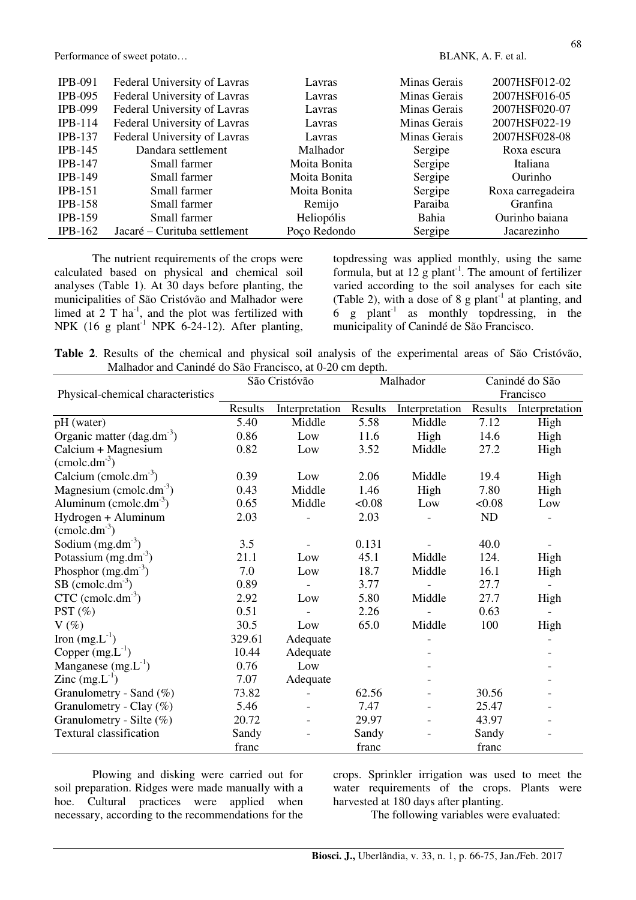| <b>IPB-091</b> | Federal University of Lavras | Lavras       | Minas Gerais | 2007HSF012-02     |
|----------------|------------------------------|--------------|--------------|-------------------|
| <b>IPB-095</b> | Federal University of Lavras | Lavras       | Minas Gerais | 2007HSF016-05     |
| <b>IPB-099</b> | Federal University of Lavras | Lavras       | Minas Gerais | 2007HSF020-07     |
| $IPB-114$      | Federal University of Lavras | Lavras       | Minas Gerais | 2007HSF022-19     |
| <b>IPB-137</b> | Federal University of Lavras | Lavras       | Minas Gerais | 2007HSF028-08     |
| $IPB-145$      | Dandara settlement           | Malhador     | Sergipe      | Roxa escura       |
| $IPB-147$      | Small farmer                 | Moita Bonita | Sergipe      | Italiana          |
| <b>IPB-149</b> | Small farmer                 | Moita Bonita | Sergipe      | Ourinho           |
| $IPB-151$      | Small farmer                 | Moita Bonita | Sergipe      | Roxa carregadeira |
| $IPB-158$      | Small farmer                 | Remijo       | Paraiba      | Granfina          |
| <b>IPB-159</b> | Small farmer                 | Heliopólis   | Bahia        | Ourinho baiana    |
| $IPB-162$      | Jacaré – Curituba settlement | Poço Redondo | Sergipe      | Jacarezinho       |

The nutrient requirements of the crops were calculated based on physical and chemical soil analyses (Table 1). At 30 days before planting, the municipalities of São Cristóvão and Malhador were limed at  $2 \text{ T} \text{ ha}^{-1}$ , and the plot was fertilized with NPK  $(16 \text{ g plant}^{-1} \text{ NPK } 6-24-12)$ . After planting, topdressing was applied monthly, using the same formula, but at  $12 \text{ g plant}^{-1}$ . The amount of fertilizer varied according to the soil analyses for each site (Table 2), with a dose of 8 g plant<sup>-1</sup> at planting, and  $6 \text{ g plant}^{-1}$  as monthly topdressing, in the municipality of Canindé de São Francisco.

**Table 2**. Results of the chemical and physical soil analysis of the experimental areas of São Cristóvão, Malhador and Canindé do São Francisco, at 0-20 cm depth.

|                                   | São Cristóvão |                | Malhador |                | Canindé do São |                |
|-----------------------------------|---------------|----------------|----------|----------------|----------------|----------------|
| Physical-chemical characteristics |               |                |          |                |                | Francisco      |
|                                   | Results       | Interpretation | Results  | Interpretation | Results        | Interpretation |
| pH (water)                        | 5.40          | Middle         | 5.58     | Middle         | 7.12           | High           |
| Organic matter $(dag.dm^{-3})$    | 0.86          | Low            | 11.6     | High           | 14.6           | High           |
| Calcium + Magnesium               | 0.82          | Low            | 3.52     | Middle         | 27.2           | High           |
| $(\text{cmolc.dm}^3)$             |               |                |          |                |                |                |
| Calcium (cmolc.dm <sup>-3</sup> ) | 0.39          | Low            | 2.06     | Middle         | 19.4           | High           |
| Magnesium (cmolc.dm $^{-3}$ )     | 0.43          | Middle         | 1.46     | High           | 7.80           | High           |
| Aluminum (cmolc.dm $^{-3}$ )      | 0.65          | Middle         | &0.08    | Low            | <0.08          | Low            |
| Hydrogen + Aluminum               | 2.03          |                | 2.03     |                | ND             |                |
| $(\text{cmolc.dm}^3)$             |               |                |          |                |                |                |
| Sodium $(mg.dm^{-3})$             | 3.5           |                | 0.131    |                | 40.0           |                |
| Potassium $(mg.dm3)$              | 21.1          | Low            | 45.1     | Middle         | 124.           | High           |
| Phosphor $(mg.dm-3)$              | 7.0           | Low            | 18.7     | Middle         | 16.1           | High           |
| $SB$ (cmolc.dm <sup>-3</sup> )    | 0.89          |                | 3.77     |                | 27.7           |                |
| $CTC$ (cmolc.dm <sup>-3</sup> )   | 2.92          | Low            | 5.80     | Middle         | 27.7           | High           |
| PST $(\%)$                        | 0.51          |                | 2.26     |                | 0.63           |                |
| $V(\%)$                           | 30.5          | Low            | 65.0     | Middle         | 100            | High           |
| Iron $(mg.L^{-1})$                | 329.61        | Adequate       |          |                |                |                |
| Copper $(mg.L^{-1})$              | 10.44         | Adequate       |          |                |                |                |
| Manganese $(mg.L^{-1})$           | 0.76          | Low            |          |                |                |                |
| Zinc $(mg.L^{-1})$                | 7.07          | Adequate       |          |                |                |                |
| Granulometry - Sand $(\%)$        | 73.82         |                | 62.56    |                | 30.56          |                |
| Granulometry - Clay $(\%)$        | 5.46          |                | 7.47     |                | 25.47          |                |
| Granulometry - Silte $(\%)$       | 20.72         |                | 29.97    |                | 43.97          |                |
| Textural classification           | Sandy         |                | Sandy    |                | Sandy          |                |
|                                   | franc         |                | franc    |                | franc          |                |

Plowing and disking were carried out for soil preparation. Ridges were made manually with a hoe. Cultural practices were applied when necessary, according to the recommendations for the crops. Sprinkler irrigation was used to meet the water requirements of the crops. Plants were harvested at 180 days after planting.

The following variables were evaluated: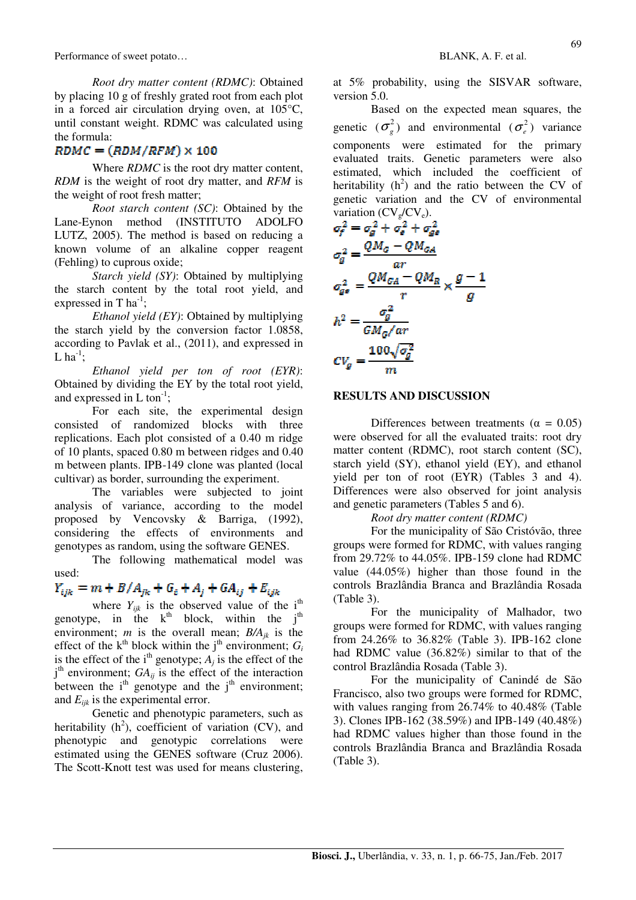*Root dry matter content (RDMC)*: Obtained by placing 10 g of freshly grated root from each plot in a forced air circulation drying oven, at 105°C, until constant weight. RDMC was calculated using the formula:

## $\mathit{RDMC} = (\mathit{RDM}/\mathit{RFM}) \times 100$

Where *RDMC* is the root dry matter content, *RDM* is the weight of root dry matter, and *RFM* is the weight of root fresh matter;

*Root starch content (SC)*: Obtained by the Lane-Eynon method (INSTITUTO ADOLFO LUTZ, 2005). The method is based on reducing a known volume of an alkaline copper reagent (Fehling) to cuprous oxide;

*Starch yield (SY)*: Obtained by multiplying the starch content by the total root yield, and expressed in  $T$  ha<sup>-1</sup>;

*Ethanol yield (EY)*: Obtained by multiplying the starch yield by the conversion factor 1.0858, according to Pavlak et al., (2011), and expressed in L  $ha^{-1}$ :

*Ethanol yield per ton of root (EYR)*: Obtained by dividing the EY by the total root yield, and expressed in  $L \text{ ton}^{-1}$ ;

For each site, the experimental design consisted of randomized blocks with three replications. Each plot consisted of a 0.40 m ridge of 10 plants, spaced 0.80 m between ridges and 0.40 m between plants. IPB-149 clone was planted (local cultivar) as border, surrounding the experiment.

The variables were subjected to joint analysis of variance, according to the model proposed by Vencovsky & Barriga, (1992), considering the effects of environments and genotypes as random, using the software GENES.

The following mathematical model was used:

# $Y_{ijk} = m + B/A_{ik} + G_i + A_i + GA_{ij} + E_{ijk}$

where  $Y_{ijk}$  is the observed value of the i<sup>th</sup> genotype, in the  $k^{th}$  block, within the  $j^{th}$ environment; *m* is the overall mean;  $B/A_{ik}$  is the effect of the  $k^{\text{th}}$  block within the j<sup>th</sup> environment;  $G_i$ is the effect of the i<sup>th</sup> genotype;  $A_j$  is the effect of the  $j<sup>th</sup>$  environment;  $GA_{ij}$  is the effect of the interaction between the  $i<sup>th</sup>$  genotype and the  $i<sup>th</sup>$  environment; and  $E_{ijk}$  is the experimental error.

Genetic and phenotypic parameters, such as heritability  $(h^2)$ , coefficient of variation (CV), and phenotypic and genotypic correlations were estimated using the GENES software (Cruz 2006). The Scott-Knott test was used for means clustering,

at 5% probability, using the SISVAR software, version 5.0.

Based on the expected mean squares, the genetic  $(\sigma_g^2)$  and environmental  $(\sigma_e^2)$  variance components were estimated for the primary evaluated traits. Genetic parameters were also estimated, which included the coefficient of heritability  $(h^2)$  and the ratio between the CV of genetic variation and the CV of environmental variation  $(CV_{g}/CV_{e})$ .

$$
\sigma_f^2 = \sigma_g^2 + \sigma_g^2 + \sigma_{g\sigma}^2
$$
\n
$$
\sigma_g^2 = \frac{Q M_G - Q M_{GA}}{ar}
$$
\n
$$
\sigma_{g\sigma}^2 = \frac{Q M_{GA} - Q M_R}{r} \times \frac{g - 1}{g}
$$
\n
$$
h^2 = \frac{\sigma_g^2}{GM_G-ar}
$$
\n
$$
CV_g = \frac{100\sqrt{\sigma_g^2}}{m}
$$

#### **RESULTS AND DISCUSSION**

Differences between treatments ( $\alpha = 0.05$ ) were observed for all the evaluated traits: root dry matter content (RDMC), root starch content (SC), starch yield (SY), ethanol yield (EY), and ethanol yield per ton of root (EYR) (Tables 3 and 4). Differences were also observed for joint analysis and genetic parameters (Tables 5 and 6).

*Root dry matter content (RDMC)* 

For the municipality of São Cristóvão, three groups were formed for RDMC, with values ranging from 29.72% to 44.05%. IPB-159 clone had RDMC value (44.05%) higher than those found in the controls Brazlândia Branca and Brazlândia Rosada (Table 3).

For the municipality of Malhador, two groups were formed for RDMC, with values ranging from 24.26% to 36.82% (Table 3). IPB-162 clone had RDMC value (36.82%) similar to that of the control Brazlândia Rosada (Table 3).

For the municipality of Canindé de São Francisco, also two groups were formed for RDMC, with values ranging from 26.74% to 40.48% (Table 3). Clones IPB-162 (38.59%) and IPB-149 (40.48%) had RDMC values higher than those found in the controls Brazlândia Branca and Brazlândia Rosada (Table 3).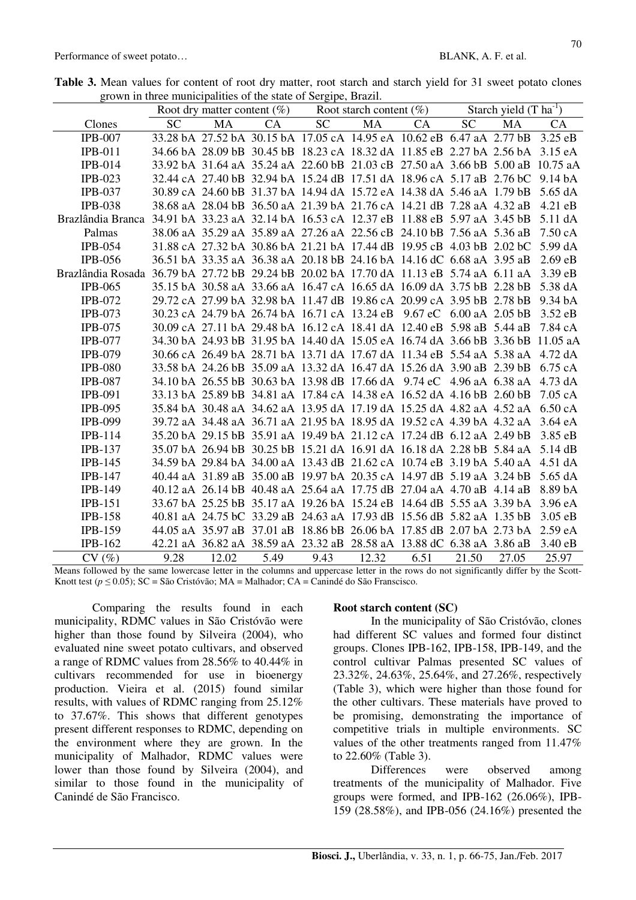| grown in three mumerialities of the state of Sergipe, Drazin.                                   |           |                                                                                |      |                            |       |      |                            |       |                   |
|-------------------------------------------------------------------------------------------------|-----------|--------------------------------------------------------------------------------|------|----------------------------|-------|------|----------------------------|-------|-------------------|
|                                                                                                 |           | Root dry matter content $(\%)$                                                 |      | Root starch content $(\%)$ |       |      | Starch yield $(T ha^{-1})$ |       |                   |
| Clones                                                                                          | <b>SC</b> | MA                                                                             | CA   | SC                         | MA    | CA   | <b>SC</b>                  | MA    | <b>CA</b>         |
| <b>IPB-007</b>                                                                                  |           | 33.28 bA 27.52 bA 30.15 bA 17.05 cA 14.95 eA 10.62 eB 6.47 aA 2.77 bB 3.25 eB  |      |                            |       |      |                            |       |                   |
| $IPB-011$                                                                                       |           | 34.66 bA 28.09 bB 30.45 bB 18.23 cA 18.32 dA 11.85 eB 2.27 bA 2.56 bA 3.15 eA  |      |                            |       |      |                            |       |                   |
| $IPB-014$                                                                                       |           | 33.92 bA 31.64 aA 35.24 aA 22.60 bB 21.03 cB 27.50 aA 3.66 bB 5.00 aB 10.75 aA |      |                            |       |      |                            |       |                   |
| $IPB-023$                                                                                       |           | 32.44 cA 27.40 bB 32.94 bA 15.24 dB 17.51 dA 18.96 cA 5.17 aB 2.76 bC 9.14 bA  |      |                            |       |      |                            |       |                   |
| <b>IPB-037</b>                                                                                  |           | 30.89 cA 24.60 bB 31.37 bA 14.94 dA 15.72 eA 14.38 dA 5.46 aA 1.79 bB 5.65 dA  |      |                            |       |      |                            |       |                   |
| <b>IPB-038</b>                                                                                  |           | 38.68 aA 28.04 bB 36.50 aA 21.39 bA 21.76 cA 14.21 dB 7.28 aA 4.32 aB          |      |                            |       |      |                            |       | $4.21$ eB         |
| Brazlândia Branca 34.91 bA 33.23 aA 32.14 bA 16.53 cA 12.37 eB 11.88 eB 5.97 aA 3.45 bB         |           |                                                                                |      |                            |       |      |                            |       | $5.11 \text{ dA}$ |
| Palmas                                                                                          |           | 38.06 aA 35.29 aA 35.89 aA 27.26 aA 22.56 cB 24.10 bB 7.56 aA 5.36 aB 7.50 cA  |      |                            |       |      |                            |       |                   |
| <b>IPB-054</b>                                                                                  |           | 31.88 cA 27.32 bA 30.86 bA 21.21 bA 17.44 dB 19.95 cB 4.03 bB 2.02 bC 5.99 dA  |      |                            |       |      |                            |       |                   |
| <b>IPB-056</b>                                                                                  |           | 36.51 bA 33.35 aA 36.38 aA 20.18 bB 24.16 bA 14.16 dC 6.68 aA 3.95 aB          |      |                            |       |      |                            |       | 2.69 eB           |
| Brazlândia Rosada 36.79 bA 27.72 bB 29.24 bB 20.02 bA 17.70 dA 11.13 eB 5.74 aA 6.11 aA 3.39 eB |           |                                                                                |      |                            |       |      |                            |       |                   |
| <b>IPB-065</b>                                                                                  |           | 35.15 bA 30.58 aA 33.66 aA 16.47 cA 16.65 dA 16.09 dA 3.75 bB 2.28 bB          |      |                            |       |      |                            |       | 5.38 dA           |
| <b>IPB-072</b>                                                                                  |           | 29.72 cA 27.99 bA 32.98 bA 11.47 dB 19.86 cA 20.99 cA 3.95 bB 2.78 bB          |      |                            |       |      |                            |       | 9.34 bA           |
| $IPB-073$                                                                                       |           | 30.23 cA 24.79 bA 26.74 bA 16.71 cA 13.24 eB 9.67 eC 6.00 aA 2.05 bB 3.52 eB   |      |                            |       |      |                            |       |                   |
| <b>IPB-075</b>                                                                                  |           | 30.09 cA 27.11 bA 29.48 bA 16.12 cA 18.41 dA 12.40 eB 5.98 aB 5.44 aB 7.84 cA  |      |                            |       |      |                            |       |                   |
| <b>IPB-077</b>                                                                                  |           | 34.30 bA 24.93 bB 31.95 bA 14.40 dA 15.05 eA 16.74 dA 3.66 bB 3.36 bB 11.05 aA |      |                            |       |      |                            |       |                   |
| <b>IPB-079</b>                                                                                  |           | 30.66 cA 26.49 bA 28.71 bA 13.71 dA 17.67 dA 11.34 eB 5.54 aA 5.38 aA 4.72 dA  |      |                            |       |      |                            |       |                   |
| <b>IPB-080</b>                                                                                  |           | 33.58 bA 24.26 bB 35.09 aA 13.32 dA 16.47 dA 15.26 dA 3.90 aB 2.39 bB          |      |                            |       |      |                            |       | $6.75$ cA         |
| <b>IPB-087</b>                                                                                  |           | 34.10 bA 26.55 bB 30.63 bA 13.98 dB 17.66 dA 9.74 eC 4.96 aA 6.38 aA 4.73 dA   |      |                            |       |      |                            |       |                   |
| <b>IPB-091</b>                                                                                  |           | 33.13 bA 25.89 bB 34.81 aA 17.84 cA 14.38 eA 16.52 dA 4.16 bB 2.60 bB 7.05 cA  |      |                            |       |      |                            |       |                   |
| <b>IPB-095</b>                                                                                  |           | 35.84 bA 30.48 aA 34.62 aA 13.95 dA 17.19 dA 15.25 dA 4.82 aA 4.52 aA 6.50 cA  |      |                            |       |      |                            |       |                   |
| <b>IPB-099</b>                                                                                  |           | 39.72 aA 34.48 aA 36.71 aA 21.95 bA 18.95 dA 19.52 cA 4.39 bA 4.32 aA 3.64 eA  |      |                            |       |      |                            |       |                   |
| $IPB-114$                                                                                       |           | 35.20 bA 29.15 bB 35.91 aA 19.49 bA 21.12 cA 17.24 dB 6.12 aA 2.49 bB          |      |                            |       |      |                            |       | $3.85$ eB         |
| <b>IPB-137</b>                                                                                  |           | 35.07 bA 26.94 bB 30.25 bB 15.21 dA 16.91 dA 16.18 dA 2.28 bB 5.84 aA 5.14 dB  |      |                            |       |      |                            |       |                   |
| $IPB-145$                                                                                       |           | 34.59 bA 29.84 bA 34.00 aA 13.43 dB 21.62 cA 10.74 eB 3.19 bA 5.40 aA 4.51 dA  |      |                            |       |      |                            |       |                   |
| $IPB-147$                                                                                       |           | 40.44 aA 31.89 aB 35.00 aB 19.97 bA 20.35 cA 14.97 dB 5.19 aA 3.24 bB 5.65 dA  |      |                            |       |      |                            |       |                   |
| <b>IPB-149</b>                                                                                  |           | 40.12 aA 26.14 bB 40.48 aA 25.64 aA 17.75 dB 27.04 aA 4.70 aB 4.14 aB 8.89 bA  |      |                            |       |      |                            |       |                   |
| $IPB-151$                                                                                       |           | 33.67 bA 25.25 bB 35.17 aA 19.26 bA 15.24 eB 14.64 dB 5.55 aA 3.39 bA 3.96 eA  |      |                            |       |      |                            |       |                   |
| <b>IPB-158</b>                                                                                  |           | 40.81 aA 24.75 bC 33.29 aB 24.63 aA 17.93 dB 15.56 dB 5.82 aA 1.35 bB          |      |                            |       |      |                            |       | 3.05 eB           |
| <b>IPB-159</b>                                                                                  |           | 44.05 aA 35.97 aB 37.01 aB 18.86 bB 26.06 bA 17.85 dB 2.07 bA 2.73 bA 2.59 eA  |      |                            |       |      |                            |       |                   |
| <b>IPB-162</b>                                                                                  |           | 42.21 aA 36.82 aA 38.59 aA 23.32 aB 28.58 aA 13.88 dC 6.38 aA 3.86 aB 3.40 eB  |      |                            |       |      |                            |       |                   |
| CV(%)                                                                                           | 9.28      | 12.02                                                                          | 5.49 | 9.43                       | 12.32 | 6.51 | 21.50                      | 27.05 | 25.97             |

**Table 3.** Mean values for content of root dry matter, root starch and starch yield for 31 sweet potato clones grown in three municipalities of the state of Sergipe, Brazil.

Means followed by the same lowercase letter in the columns and uppercase letter in the rows do not significantly differ by the Scott-Knott test ( $p \le 0.05$ ); SC = São Cristóvão; MA = Malhador; CA = Canindé do São Franscisco.

Comparing the results found in each municipality, RDMC values in São Cristóvão were higher than those found by Silveira (2004), who evaluated nine sweet potato cultivars, and observed a range of RDMC values from 28.56% to 40.44% in cultivars recommended for use in bioenergy production. Vieira et al. (2015) found similar results, with values of RDMC ranging from 25.12% to 37.67%. This shows that different genotypes present different responses to RDMC, depending on the environment where they are grown. In the municipality of Malhador, RDMC values were lower than those found by Silveira (2004), and similar to those found in the municipality of Canindé de São Francisco.

#### **Root starch content (SC)**

In the municipality of São Cristóvão, clones had different SC values and formed four distinct groups. Clones IPB-162, IPB-158, IPB-149, and the control cultivar Palmas presented SC values of 23.32%, 24.63%, 25.64%, and 27.26%, respectively (Table 3), which were higher than those found for the other cultivars. These materials have proved to be promising, demonstrating the importance of competitive trials in multiple environments. SC values of the other treatments ranged from 11.47% to 22.60% (Table 3).

Differences were observed among treatments of the municipality of Malhador. Five groups were formed, and IPB-162 (26.06%), IPB-159 (28.58%), and IPB-056 (24.16%) presented the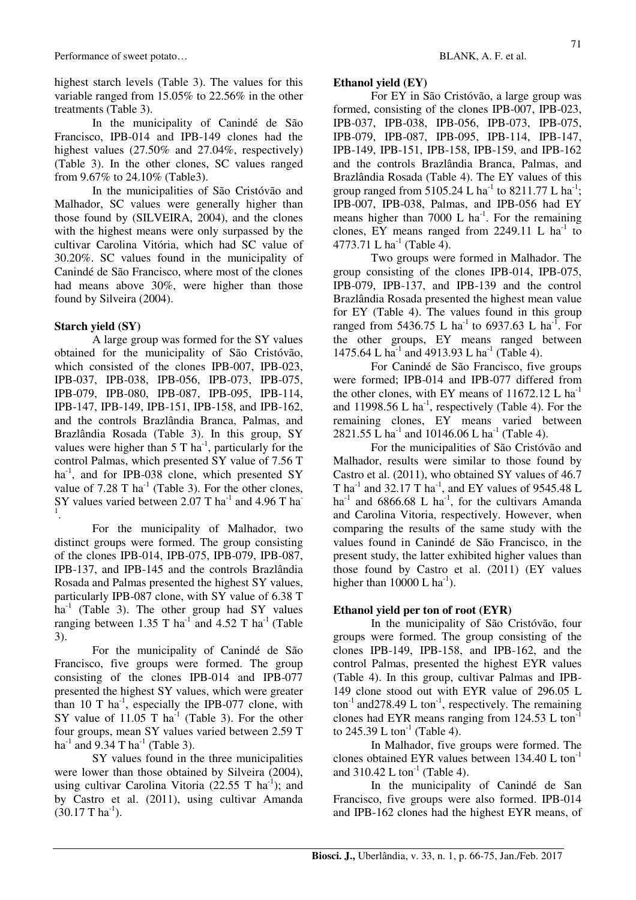highest starch levels (Table 3). The values for this variable ranged from 15.05% to 22.56% in the other treatments (Table 3).

In the municipality of Canindé de São Francisco, IPB-014 and IPB-149 clones had the highest values (27.50% and 27.04%, respectively) (Table 3). In the other clones, SC values ranged from 9.67% to 24.10% (Table3).

In the municipalities of São Cristóvão and Malhador, SC values were generally higher than those found by (SILVEIRA, 2004), and the clones with the highest means were only surpassed by the cultivar Carolina Vitória, which had SC value of 30.20%. SC values found in the municipality of Canindé de São Francisco, where most of the clones had means above 30%, were higher than those found by Silveira (2004).

## **Starch yield (SY)**

A large group was formed for the SY values obtained for the municipality of São Cristóvão, which consisted of the clones IPB-007, IPB-023, IPB-037, IPB-038, IPB-056, IPB-073, IPB-075, IPB-079, IPB-080, IPB-087, IPB-095, IPB-114, IPB-147, IPB-149, IPB-151, IPB-158, and IPB-162, and the controls Brazlândia Branca, Palmas, and Brazlândia Rosada (Table 3). In this group, SY values were higher than  $5 T$  ha<sup>-1</sup>, particularly for the control Palmas, which presented SY value of 7.56 T ha<sup>-1</sup>, and for IPB-038 clone, which presented  $SY$ value of  $7.28$  T ha<sup>-1</sup> (Table 3). For the other clones, SY values varied between 2.07 T ha<sup>-1</sup> and 4.96 T ha<sup>-1</sup> 1 .

For the municipality of Malhador, two distinct groups were formed. The group consisting of the clones IPB-014, IPB-075, IPB-079, IPB-087, IPB-137, and IPB-145 and the controls Brazlândia Rosada and Palmas presented the highest SY values, particularly IPB-087 clone, with SY value of 6.38 T  $ha<sup>-1</sup>$  (Table 3). The other group had SY values ranging between 1.35 T ha<sup>-1</sup> and 4.52 T ha<sup>-1</sup> (Table 3).

For the municipality of Canindé de São Francisco, five groups were formed. The group consisting of the clones IPB-014 and IPB-077 presented the highest SY values, which were greater than 10 T  $\text{ha}^{-1}$ , especially the IPB-077 clone, with SY value of  $11.05$  T ha<sup>-1</sup> (Table 3). For the other four groups, mean SY values varied between 2.59 T ha<sup>-1</sup> and 9.34 T ha<sup>-1</sup> (Table 3).

SY values found in the three municipalities were lower than those obtained by Silveira (2004), using cultivar Carolina Vitoria (22.55 T ha<sup>-1</sup>); and by Castro et al. (2011), using cultivar Amanda  $(30.17 \text{ T} \text{ ha}^{-1})$ .

### **Ethanol yield (EY)**

For EY in São Cristóvão, a large group was formed, consisting of the clones IPB-007, IPB-023, IPB-037, IPB-038, IPB-056, IPB-073, IPB-075, IPB-079, IPB-087, IPB-095, IPB-114, IPB-147, IPB-149, IPB-151, IPB-158, IPB-159, and IPB-162 and the controls Brazlândia Branca, Palmas, and Brazlândia Rosada (Table 4). The EY values of this group ranged from 5105.24 L ha<sup>-1</sup> to 8211.77 L ha<sup>-1</sup>; IPB-007, IPB-038, Palmas, and IPB-056 had EY means higher than 7000 L  $ha^{-1}$ . For the remaining clones, EY means ranged from  $2249.11$  L ha<sup>-1</sup> to 4773.71 L ha<sup>-1</sup> (Table 4).

Two groups were formed in Malhador. The group consisting of the clones IPB-014, IPB-075, IPB-079, IPB-137, and IPB-139 and the control Brazlândia Rosada presented the highest mean value for EY (Table 4). The values found in this group ranged from 5436.75 L ha<sup>-1</sup> to 6937.63 L ha<sup>-1</sup>. For the other groups, EY means ranged between 1475.64 L ha<sup>-1</sup> and 4913.93 L ha<sup>-1</sup> (Table 4).

For Canindé de São Francisco, five groups were formed; IPB-014 and IPB-077 differed from the other clones, with EY means of  $11672.12$  L ha<sup>-1</sup> and 11998.56 L ha<sup>-1</sup>, respectively (Table 4). For the remaining clones, EY means varied between 2821.55 L ha<sup>-1</sup> and 10146.06 L ha<sup>-1</sup> (Table 4).

For the municipalities of São Cristóvão and Malhador, results were similar to those found by Castro et al. (2011), who obtained SY values of 46.7 T ha<sup>-1</sup> and 32.17 T ha<sup>-1</sup>, and EY values of 9545.48 L ha<sup>-1</sup> and 6866.68 L ha<sup>-1</sup>, for the cultivars Amanda and Carolina Vitoria, respectively. However, when comparing the results of the same study with the values found in Canindé de São Francisco, in the present study, the latter exhibited higher values than those found by Castro et al. (2011) (EY values higher than  $10000$  L ha<sup>-1</sup>).

## **Ethanol yield per ton of root (EYR)**

In the municipality of São Cristóvão, four groups were formed. The group consisting of the clones IPB-149, IPB-158, and IPB-162, and the control Palmas, presented the highest EYR values (Table 4). In this group, cultivar Palmas and IPB-149 clone stood out with EYR value of 296.05 L  $\text{tan}^{-1}$  and 278.49 L ton<sup>-1</sup>, respectively. The remaining clones had EYR means ranging from 124.53 L ton-1 to  $245.39$  L ton<sup>-1</sup> (Table 4).

In Malhador, five groups were formed. The clones obtained EYR values between  $134.40$  L ton<sup>-1</sup> and  $310.42$  L ton<sup>-1</sup> (Table 4).

In the municipality of Canindé de San Francisco, five groups were also formed. IPB-014 and IPB-162 clones had the highest EYR means, of

71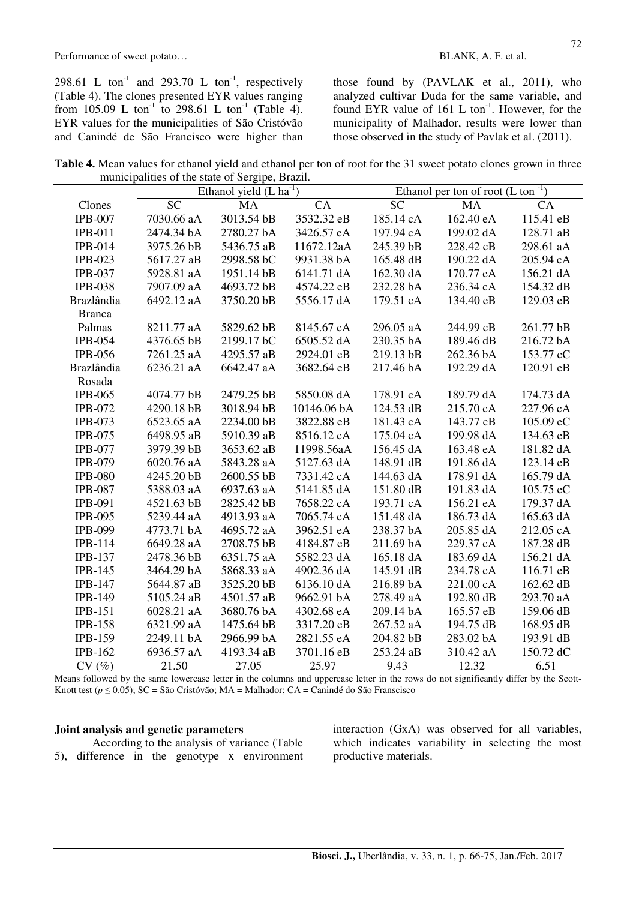298.61 L ton<sup>-1</sup> and 293.70 L ton<sup>-1</sup>, respectively (Table 4). The clones presented EYR values ranging from 105.09 L ton<sup>-1</sup> to 298.61 L ton<sup>-1</sup> (Table 4). EYR values for the municipalities of São Cristóvão and Canindé de São Francisco were higher than

those found by (PAVLAK et al., 2011), who analyzed cultivar Duda for the same variable, and found EYR value of  $161$  L ton<sup>-1</sup>. However, for the municipality of Malhador, results were lower than those observed in the study of Pavlak et al. (2011).

**Table 4.** Mean values for ethanol yield and ethanol per ton of root for the 31 sweet potato clones grown in three municipalities of the state of Sergipe, Brazil.

|                   | Ethanol yield $(L ha^{-1})$ |            |             | Ethanol per ton of root $(L \tan^{-1})$ |           |           |
|-------------------|-----------------------------|------------|-------------|-----------------------------------------|-----------|-----------|
| Clones            | <b>SC</b>                   | <b>MA</b>  | CA          | <b>SC</b>                               | <b>MA</b> | CA        |
| <b>IPB-007</b>    | 7030.66 aA                  | 3013.54 bB | 3532.32 eB  | 185.14 cA                               | 162.40 eA | 115.41 eB |
| $IPB-011$         | 2474.34 bA                  | 2780.27 bA | 3426.57 eA  | 197.94 cA                               | 199.02 dA | 128.71 aB |
| <b>IPB-014</b>    | 3975.26 bB                  | 5436.75 aB | 11672.12aA  | 245.39 bB                               | 228.42 cB | 298.61 aA |
| $IPB-023$         | 5617.27 aB                  | 2998.58 bC | 9931.38 bA  | 165.48 dB                               | 190.22 dA | 205.94 cA |
| <b>IPB-037</b>    | 5928.81 aA                  | 1951.14 bB | 6141.71 dA  | 162.30 dA                               | 170.77 eA | 156.21 dA |
| <b>IPB-038</b>    | 7907.09 aA                  | 4693.72 bB | 4574.22 eB  | 232.28 bA                               | 236.34 cA | 154.32 dB |
| <b>Brazlândia</b> | 6492.12 aA                  | 3750.20 bB | 5556.17 dA  | 179.51 cA                               | 134.40 eB | 129.03 eB |
| <b>Branca</b>     |                             |            |             |                                         |           |           |
| Palmas            | 8211.77 aA                  | 5829.62 bB | 8145.67 cA  | 296.05 aA                               | 244.99 cB | 261.77 bB |
| IPB-054           | 4376.65 bB                  | 2199.17 bC | 6505.52 dA  | 230.35 bA                               | 189.46 dB | 216.72 bA |
| <b>IPB-056</b>    | 7261.25 aA                  | 4295.57 aB | 2924.01 eB  | 219.13 bB                               | 262.36 bA | 153.77 cC |
| <b>Brazlândia</b> | 6236.21 aA                  | 6642.47 aA | 3682.64 eB  | 217.46 bA                               | 192.29 dA | 120.91 eB |
| Rosada            |                             |            |             |                                         |           |           |
| <b>IPB-065</b>    | 4074.77 bB                  | 2479.25 bB | 5850.08 dA  | 178.91 cA                               | 189.79 dA | 174.73 dA |
| <b>IPB-072</b>    | 4290.18 bB                  | 3018.94 bB | 10146.06 bA | 124.53 dB                               | 215.70 cA | 227.96 cA |
| $IPB-073$         | 6523.65 aA                  | 2234.00 bB | 3822.88 eB  | 181.43 cA                               | 143.77 cB | 105.09 eC |
| <b>IPB-075</b>    | 6498.95 aB                  | 5910.39 aB | 8516.12 cA  | 175.04 cA                               | 199.98 dA | 134.63 eB |
| <b>IPB-077</b>    | 3979.39 bB                  | 3653.62 aB | 11998.56aA  | 156.45 dA                               | 163.48 eA | 181.82 dA |
| IPB-079           | 6020.76 aA                  | 5843.28 aA | 5127.63 dA  | 148.91 dB                               | 191.86 dA | 123.14 eB |
| <b>IPB-080</b>    | 4245.20 bB                  | 2600.55 bB | 7331.42 cA  | 144.63 dA                               | 178.91 dA | 165.79 dA |
| <b>IPB-087</b>    | 5388.03 aA                  | 6937.63 aA | 5141.85 dA  | 151.80 dB                               | 191.83 dA | 105.75 eC |
| <b>IPB-091</b>    | 4521.63 bB                  | 2825.42 bB | 7658.22 cA  | 193.71 cA                               | 156.21 eA | 179.37 dA |
| <b>IPB-095</b>    | 5239.44 aA                  | 4913.93 aA | 7065.74 cA  | 151.48 dA                               | 186.73 dA | 165.63 dA |
| <b>IPB-099</b>    | 4773.71 bA                  | 4695.72 aA | 3962.51 eA  | 238.37 bA                               | 205.85 dA | 212.05 cA |
| IPB-114           | 6649.28 aA                  | 2708.75 bB | 4184.87 eB  | 211.69 bA                               | 229.37 cA | 187.28 dB |
| <b>IPB-137</b>    | 2478.36 bB                  | 6351.75 aA | 5582.23 dA  | 165.18 dA                               | 183.69 dA | 156.21 dA |
| <b>IPB-145</b>    | 3464.29 bA                  | 5868.33 aA | 4902.36 dA  | 145.91 dB                               | 234.78 cA | 116.71 eB |
| <b>IPB-147</b>    | 5644.87 aB                  | 3525.20 bB | 6136.10 dA  | 216.89 bA                               | 221.00 cA | 162.62 dB |
| <b>IPB-149</b>    | 5105.24 aB                  | 4501.57 aB | 9662.91 bA  | 278.49 aA                               | 192.80 dB | 293.70 aA |
| <b>IPB-151</b>    | 6028.21 aA                  | 3680.76 bA | 4302.68 eA  | 209.14 bA                               | 165.57 eB | 159.06 dB |
| <b>IPB-158</b>    | 6321.99 aA                  | 1475.64 bB | 3317.20 eB  | 267.52 aA                               | 194.75 dB | 168.95 dB |
| <b>IPB-159</b>    | 2249.11 bA                  | 2966.99 bA | 2821.55 eA  | 204.82 bB                               | 283.02 bA | 193.91 dB |
| <b>IPB-162</b>    | 6936.57 aA                  | 4193.34 aB | 3701.16 eB  | 253.24 aB                               | 310.42 aA | 150.72 dC |
| CV(%)             | 21.50                       | 27.05      | 25.97       | 9.43                                    | 12.32     | 6.51      |

Means followed by the same lowercase letter in the columns and uppercase letter in the rows do not significantly differ by the Scott-Knott test ( $p \le 0.05$ ); SC = São Cristóvão; MA = Malhador; CA = Canindé do São Franscisco

#### **Joint analysis and genetic parameters**

According to the analysis of variance (Table 5), difference in the genotype x environment interaction (GxA) was observed for all variables, which indicates variability in selecting the most productive materials.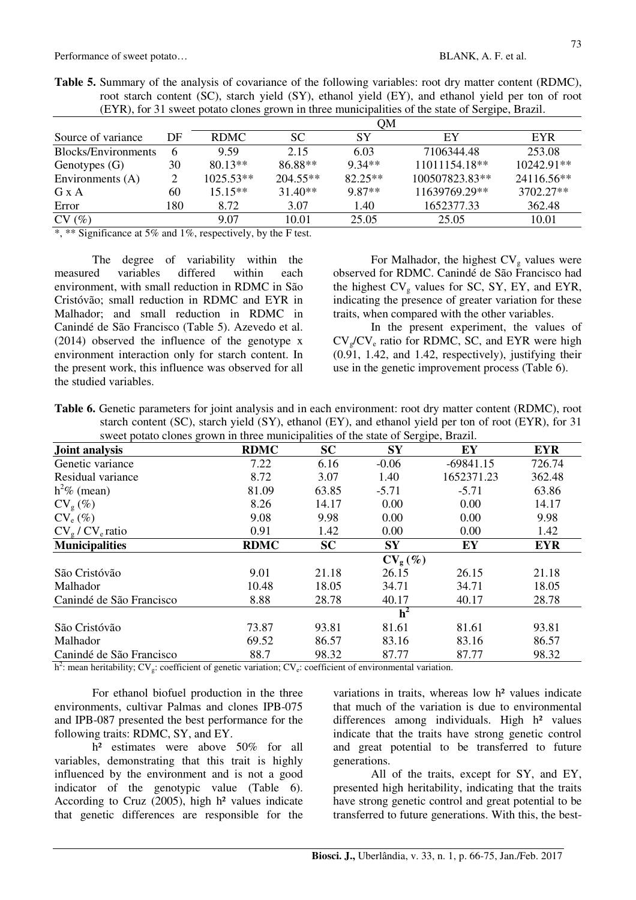| Toot suiten content (DC), suiten freia (DT), chance freia (DT), and chance freia per ton of fron<br>(EYR), for 31 sweet potato clones grown in three municipalities of the state of Sergipe, Brazil. |    |             |            |           |                |              |  |  |
|------------------------------------------------------------------------------------------------------------------------------------------------------------------------------------------------------|----|-------------|------------|-----------|----------------|--------------|--|--|
|                                                                                                                                                                                                      |    |             |            | OМ        |                |              |  |  |
| Source of variance                                                                                                                                                                                   | DF | RDMC        | SC.        | SY        | EY             | <b>EYR</b>   |  |  |
| Blocks/Environments                                                                                                                                                                                  |    | 9.59        | 2.15       | 6.03      | 7106344.48     | 253.08       |  |  |
| Genotypes $(G)$                                                                                                                                                                                      | 30 | $80.13**$   | 86.88**    | $9.34**$  | 11011154.18**  | $10242.91**$ |  |  |
| Environments (A)                                                                                                                                                                                     |    | $1025.53**$ | $204.55**$ | $82.25**$ | 100507823.83** | 24116.56**   |  |  |

G x A 60  $15.15**$   $31.40**$   $9.87**$   $11639769.29**$   $3702.27**$ Error 180 8.72 3.07 1.40 1652377.33 362.48  $CV(%)$  9.07 10.01 25.05 25.05 10.01

**Table 5.** Summary of the analysis of covariance of the following variables: root dry matter content (RDMC), root starch content (SC), starch yield (SY), ethanol yield (EY), and ethanol yield per ton of root

\*, \*\* Significance at 5% and 1%, respectively, by the F test.

The degree of variability within the measured variables differed within each environment, with small reduction in RDMC in São Cristóvão; small reduction in RDMC and EYR in Malhador; and small reduction in RDMC in Canindé de São Francisco (Table 5). Azevedo et al. (2014) observed the influence of the genotype x environment interaction only for starch content. In the present work, this influence was observed for all the studied variables.

For Malhador, the highest  $CV<sub>g</sub>$  values were observed for RDMC. Canindé de São Francisco had the highest  $CV<sub>o</sub>$  values for SC, SY, EY, and EYR, indicating the presence of greater variation for these traits, when compared with the other variables.

In the present experiment, the values of  $CV_g/CV_e$  ratio for RDMC, SC, and EYR were high (0.91, 1.42, and 1.42, respectively), justifying their use in the genetic improvement process (Table 6).

| <b>Table 6.</b> Genetic parameters for joint analysis and in each environment: root dry matter content (RDMC), root |
|---------------------------------------------------------------------------------------------------------------------|
| starch content (SC), starch yield (SY), ethanol (EY), and ethanol yield per ton of root (EYR), for 31               |
| sweet potato clones grown in three municipalities of the state of Sergipe, Brazil.                                  |

| sweet potato ciones grown in three municipalities of the state of Sergipe, Drazii.<br>Joint analysis | <b>RDMC</b> | <b>SC</b> | $\mathbf{S}\mathbf{Y}$ | EY          | <b>EYR</b> |
|------------------------------------------------------------------------------------------------------|-------------|-----------|------------------------|-------------|------------|
| Genetic variance                                                                                     | 7.22        | 6.16      | $-0.06$                | $-69841.15$ | 726.74     |
| Residual variance                                                                                    | 8.72        | 3.07      | 1.40                   | 1652371.23  | 362.48     |
| $h^2\%$ (mean)                                                                                       | 81.09       | 63.85     | $-5.71$                | $-5.71$     | 63.86      |
| $CV_g (\%)$                                                                                          | 8.26        | 14.17     | 0.00                   | 0.00        | 14.17      |
| $CV_e (\%)$                                                                                          | 9.08        | 9.98      | 0.00                   | 0.00        | 9.98       |
| $CV_g / CV_e$ ratio                                                                                  | 0.91        | 1.42      | 0.00                   | 0.00        | 1.42       |
| <b>Municipalities</b>                                                                                | <b>RDMC</b> | <b>SC</b> | <b>SY</b>              | EY          | <b>EYR</b> |
|                                                                                                      |             |           | $CV_g(\%)$             |             |            |
| São Cristóvão                                                                                        | 9.01        | 21.18     | 26.15                  | 26.15       | 21.18      |
| Malhador                                                                                             | 10.48       | 18.05     | 34.71                  | 34.71       | 18.05      |
| Canindé de São Francisco                                                                             | 8.88        | 28.78     | 40.17                  | 40.17       | 28.78      |
|                                                                                                      |             |           | h <sup>2</sup>         |             |            |
| São Cristóvão                                                                                        | 73.87       | 93.81     | 81.61                  | 81.61       | 93.81      |
| Malhador                                                                                             | 69.52       | 86.57     | 83.16                  | 83.16       | 86.57      |
| Canindé de São Francisco                                                                             | 88.7        | 98.32     | 87.77                  | 87.77       | 98.32      |

h<sup>2</sup>: mean heritability; CV<sub>g</sub>: coefficient of genetic variation; CV<sub>e</sub>: coefficient of environmental variation.

For ethanol biofuel production in the three environments, cultivar Palmas and clones IPB-075 and IPB-087 presented the best performance for the following traits: RDMC, SY, and EY.

h<sup>2</sup> estimates were above 50% for all variables, demonstrating that this trait is highly influenced by the environment and is not a good indicator of the genotypic value (Table 6). According to Cruz  $(2005)$ , high  $h<sup>2</sup>$  values indicate that genetic differences are responsible for the

variations in traits, whereas low h² values indicate that much of the variation is due to environmental differences among individuals. High h<sup>2</sup> values indicate that the traits have strong genetic control and great potential to be transferred to future generations.

All of the traits, except for SY, and EY, presented high heritability, indicating that the traits have strong genetic control and great potential to be transferred to future generations. With this, the best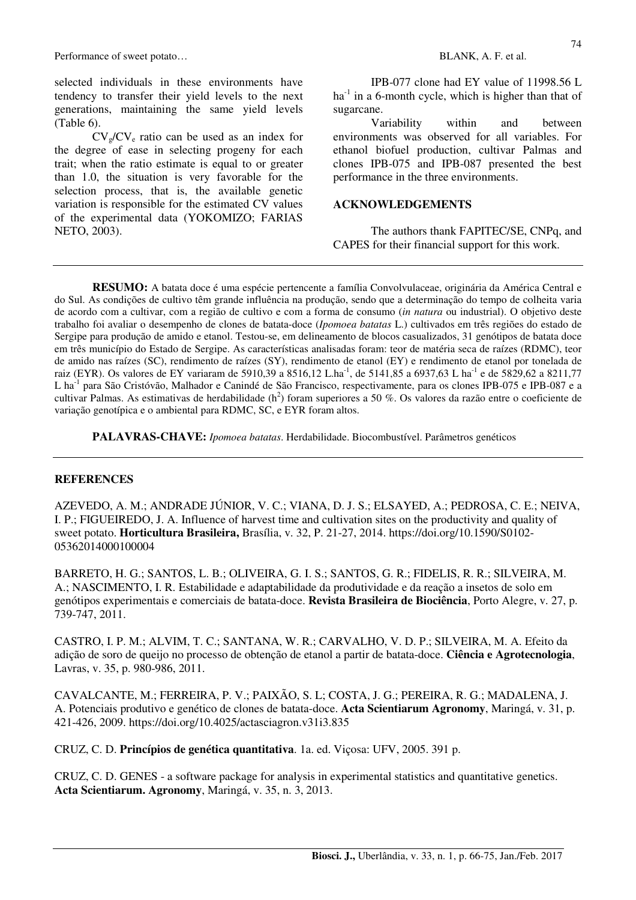Performance of sweet potato… **BLANK, A. F. et al. BLANK, A. F. et al.** 

selected individuals in these environments have tendency to transfer their yield levels to the next generations, maintaining the same yield levels (Table 6).

 $CV_g/CV_e$  ratio can be used as an index for the degree of ease in selecting progeny for each trait; when the ratio estimate is equal to or greater than 1.0, the situation is very favorable for the selection process, that is, the available genetic variation is responsible for the estimated CV values of the experimental data (YOKOMIZO; FARIAS NETO, 2003).

IPB-077 clone had EY value of 11998.56 L  $ha<sup>-1</sup>$  in a 6-month cycle, which is higher than that of sugarcane.

Variability within and between environments was observed for all variables. For ethanol biofuel production, cultivar Palmas and clones IPB-075 and IPB-087 presented the best performance in the three environments.

## **ACKNOWLEDGEMENTS**

The authors thank FAPITEC/SE, CNPq, and CAPES for their financial support for this work.

**RESUMO:** A batata doce é uma espécie pertencente a família Convolvulaceae, originária da América Central e do Sul. As condições de cultivo têm grande influência na produção, sendo que a determinação do tempo de colheita varia de acordo com a cultivar, com a região de cultivo e com a forma de consumo (*in natura* ou industrial). O objetivo deste trabalho foi avaliar o desempenho de clones de batata-doce (*Ipomoea batatas* L.) cultivados em três regiões do estado de Sergipe para produção de amido e etanol. Testou-se, em delineamento de blocos casualizados, 31 genótipos de batata doce em três município do Estado de Sergipe. As características analisadas foram: teor de matéria seca de raízes (RDMC), teor de amido nas raízes (SC), rendimento de raízes (SY), rendimento de etanol (EY) e rendimento de etanol por tonelada de raiz (EYR). Os valores de EY variaram de 5910,39 a 8516,12 L.ha<sup>-1</sup>, de 5141,85 a 6937,63 L ha<sup>-1</sup> e de 5829,62 a 8211,77 L ha<sup>-1</sup> para São Cristóvão, Malhador e Canindé de São Francisco, respectivamente, para os clones IPB-075 e IPB-087 e a cultivar Palmas. As estimativas de herdabilidade ( $h^2$ ) foram superiores a 50 %. Os valores da razão entre o coeficiente de variação genotípica e o ambiental para RDMC, SC, e EYR foram altos.

**PALAVRAS-CHAVE:** *Ipomoea batatas*. Herdabilidade. Biocombustível. Parâmetros genéticos

## **REFERENCES**

AZEVEDO, A. M.; ANDRADE JÚNIOR, V. C.; VIANA, D. J. S.; ELSAYED, A.; PEDROSA, C. E.; NEIVA, I. P.; FIGUEIREDO, J. A. Influence of harvest time and cultivation sites on the productivity and quality of sweet potato. **Horticultura Brasileira,** Brasília, v. 32, P. 21-27, 2014. https://doi.org/10.1590/S0102- 05362014000100004

BARRETO, H. G.; SANTOS, L. B.; OLIVEIRA, G. I. S.; SANTOS, G. R.; FIDELIS, R. R.; SILVEIRA, M. A.; NASCIMENTO, I. R. Estabilidade e adaptabilidade da produtividade e da reação a insetos de solo em genótipos experimentais e comerciais de batata-doce. **Revista Brasileira de Biociência**, Porto Alegre, v. 27, p. 739-747, 2011.

CASTRO, I. P. M.; ALVIM, T. C.; SANTANA, W. R.; CARVALHO, V. D. P.; SILVEIRA, M. A. Efeito da adição de soro de queijo no processo de obtenção de etanol a partir de batata-doce. **Ciência e Agrotecnologia**, Lavras, v. 35, p. 980-986, 2011.

CAVALCANTE, M.; FERREIRA, P. V.; PAIXÃO, S. L; COSTA, J. G.; PEREIRA, R. G.; MADALENA, J. A. Potenciais produtivo e genético de clones de batata-doce. **Acta Scientiarum Agronomy**, Maringá, v. 31, p. 421-426, 2009. https://doi.org/10.4025/actasciagron.v31i3.835

CRUZ, C. D. **Princípios de genética quantitativa**. 1a. ed. Viçosa: UFV, 2005. 391 p.

CRUZ, C. D. GENES - a software package for analysis in experimental statistics and quantitative genetics. **Acta Scientiarum. Agronomy**, Maringá, v. 35, n. 3, 2013.